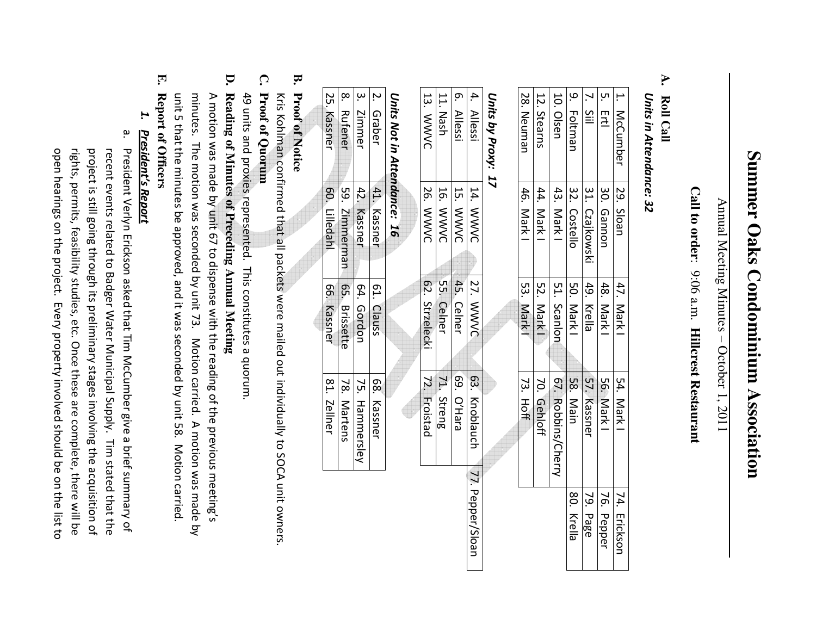# Summer Oaks Condominium Association **Summer Oaks Condominium Association**

Annual Meeting Minutes - October 1, 2011 Annual Meeting Minutes – October 1, 2011

# Call to order: 9:06 a.m. Hillcrest Restaurant **Call to order**: 9:06 a.m. **Hillcrest Restaurant**

#### **A.** Roll Call **Roll Call**

# Units in Attendance: 32 *Units in Attendance: 32*

| 1. McCumber | 29. Sloar      | 47. Mark1   | 54. Mark           | 74. Ericksor |
|-------------|----------------|-------------|--------------------|--------------|
| 5. Ertl     | 30. Gannon     | 48. Mark I  | 56. Mark           | 76. Pepper   |
| 7. Sill     | 31. Czajkowski | 49. Krella  | 57. Kassner        | 79. Page     |
| 9. Foltman  | 32. Costellc   | 50. Mark1   | 58. Main           | 80. Krella   |
| 10. Olsen   | 43. Mark       | 51. Scanlon | 67. Robbins/Cherry |              |
| 12. Stearns | 44. Mark       | 52. Mark1   | 70. Gehloff        |              |
| 28. Neuman  | 46. Mark       | 53. Mark1   | 73. Hoff           |              |

#### Units by Proxy: 17 *Units by Proxy: 17*

| 72. Froistad  |
|---------------|
|               |
| 71. Streng    |
| 69. O'Hara    |
| 63. Knoblauch |

#### Units Not in Attendance: *Units Not in Attendance: 16*  7

|                                                                                       | .<br>م.<br>Z<br>2 | טוויס ואטנווו בונכווממווכר. בט<br>Graber | 41. Kassner<br>42. Kassner | 61. Clauss | 81. Zellner<br>78. Martens<br>68. Kassner<br>75. Hammersley |
|---------------------------------------------------------------------------------------|-------------------|------------------------------------------|----------------------------|------------|-------------------------------------------------------------|
| Zimmer<br>59. Zimmerman   65. Brissette<br>60. Lilledahl<br>64. Gordon<br>66. Kassner |                   |                                          |                            |            |                                                             |
| 25. Kassner<br>8. Rufener                                                             |                   |                                          |                            |            |                                                             |
|                                                                                       |                   |                                          |                            |            |                                                             |
|                                                                                       |                   |                                          |                            |            |                                                             |

#### **B. Proof of Notice Proof of Notice**

Kris Kohlman confirmed that all packets were mailed out individually to SOCA unit owners Kris Kohlman confirmed that all packets were mailed out individually to SOCA unit owners.

#### **C.** Proof of Quorum **Proof of Quorum**

49 units and proxies represented. This constitutes a quorum 49 units and proxies represented. This constitutes a quorum.

# **D.** Reading of Minutes of Preceding Annual Meeting **Reading of Minutes of Preceding Annual Meeting**

unit 5 that the minutes be approved, and it was seconded by unit 58. Motion carried minutes. The motion was seconded by unit 73. Motion carried. A motion was made by A motion was made by unit 67 to dispense with the reading of the previous meeting's A motion was made by unit 67 to dispense with the r unit 5 that the minutes be approved, and it was seconded by unit 58. Motion carried. minutes. The motion was seconded by unit 73. Notion carried. A motion was made by eading of the previous meeting's

#### **E.** Report of Officers **Report of Officers**

#### *1.* **President's Report** *President's Report*

a. President Verlyn Erickson asked that Tim McCumber give a brief summary of open hearings on the project. Every property involved should be on the list to rights, permits, feasibility studies, etc. Once these are complete, there will be recent events related to Badger Water Municipal Supply. Tim stated that the project is still going through its preliminary stages involving the acquisition of open hearings on the project. Every property involved should be on the list to rights, permits, feasibility studies, etc. Once these are complete, there will be project is still going through its preliminary stages involving the acquisition of recent events related to Badger Water Municipal Supply. Tim stated that the President Verlyn Erickson asked that Tim McCumber give a brief summary of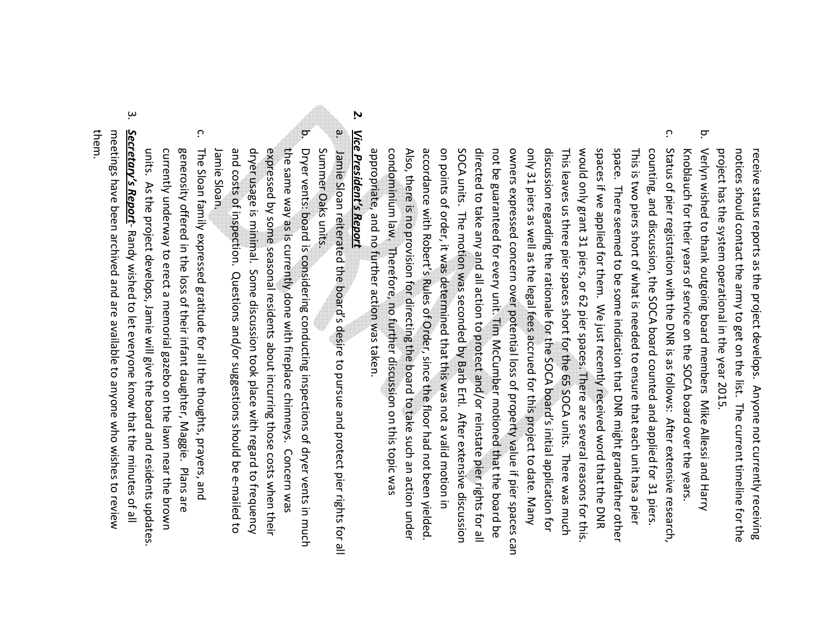project has the system operational in the year 2015. notices should contact the army to get on the list. The current timeline for the receive status reports as the project develops. Anyone not currently receiving project has the system operational in the year 2015. notices should contact the army to get on the list. The current timeline for the receive status reports as the project develops. Anyone not currently receiving

- b. Knoblauch for their years of service on the SOCA board over the years Verlyn wished to thank outgoing board members Mike Allessi and Harry Verlyn wished to thank outgoing board members Mike Allessi and Harry Knoblauch for their years of service on the SOCA board over the years.
- c. only 31 piers as well as the legal fees accrued for this project to date. Many space. There seemed to be some indication that DNR might grandfather other Status of pier registration with the DNR is as follows: After extensive research, appropriate, and no further action was taken. condominium law. Therefore, no further discussion on this topic was Also, there is no provision for directing the board to take such an action under Also, there is no provision for directing the board to take such an action under accordance with Robert's Rules of Order, since the floor had not been yielded. on points of order, it was determined that this was not a valid motion in SOCA units. The motion was seconded by Barb Ertl. After extensive discussion directed to take any and all action to protect and/or reinstate pier rights for all not be guaranteed for every unit. Tim McCumber motioned that the board be owners expressed concern over potential loss of property value if pier spaces can discussion regarding the rationale for the SOCA board's initial application for This leaves us three pier spaces short for the 65 SOCA units. There was much This leaves us three pier spaces short for the 65 SOCA units. There was much would only grant 31 piers, or 62 pier spaces. There are several reasons for this would only grant 31 piers, or 62 pier spaces. There are several reasons for this. spaces if we applied for them. We just recently received word that the DNR This is two piers short of what is needed to ensure that each unit has a pier counting, and discussion, the SOCA board counted and applied for 31 piers. appropriate, and no further action was taken. condominium law. Therefore, no further discussion on this topic was accordance with Robert's Rules of Order, since the floor had not been yielded. on points of order, it was determined that this was not a valid motion in SOCA units. The motion was seconded by Barb Ertl. After extensive discussion directed to take any and all action to protect and/or reinstate pier rights for all not be guaranteed for every unit. Tim McCumber motioned that the board be owners expressed concern over potential loss of property value if pier spaces can only 31 piers as well as the legal fees accrued for this project to date. Many discussion regarding the rationale for the SOCA board's initial application for spaces if we applied for them. We just recently received word that the DNR space. There seemed to be some indication that DNR might grandfather other This is two piers short of what is needed to ensure that each unit has a pier counting, and discussion, the SOCA board counted and applied for 31 piers. Status of pier registration with the DNR is as follows: After extensive research,

#### *2.* Vice President's Report *Vice President's Report*

a.

 $\sigma$ 

Summer Oaks units. Jamie Sloan reiterated the board's desire to pursue and protect pier rights for all Summer Oaks units. Jamie Sloan reiterated the board's desire to pursue and protect pier rights for all

- dryer usage is minimal. Some discussion took place with regard to frequency the same way as is currently done with fireplace chimneys. Concern was Jamie Sloan. Jamie Sloan. and costs of inspection. Questions and/or suggestions should be e-mailed to expressed by some seasonal residents about incurring those costs when their the same way as is currently done with fireplace chimneys. Concern was Dryer vents: board is considering conducting inspections of dryer vents in much and costs of inspection. Questions and/or suggestions should be e-mailed to dryer usage is minimal. Some discussion took place with regard to frequency expressed by some seasonal residents about incurring those costs when their Dryer vents: board is considering conducting inspections of dryer vents in much
- c. units. currently underway to erect a memorial gazebo on the lawn near the brown generosity offered in the loss of their infant daughter, Maggie. Plans are generosity offered in the loss of their infant daughter, Maggie. Plans are The Sloan family expressed gratitude for all the thoughts, prayers, and The Sloan family expressed gratitude for all the thoughts, prayers, and units. As the project develops, Jamie will give the board and residents updates. currently underway to erect a memorial gazebo on the lawn near the brown As the project develops, Jamie will give the board and residents updates.
- بب them. meetings have been archived and are available to anyone who wishes to review Secretary's Report-Randy wished to let everyone know that the minutes of all *Secretary's Report*meetings have been archived and are available to anyone who wishes to review - Randy wished to let everyone know that the minutes of all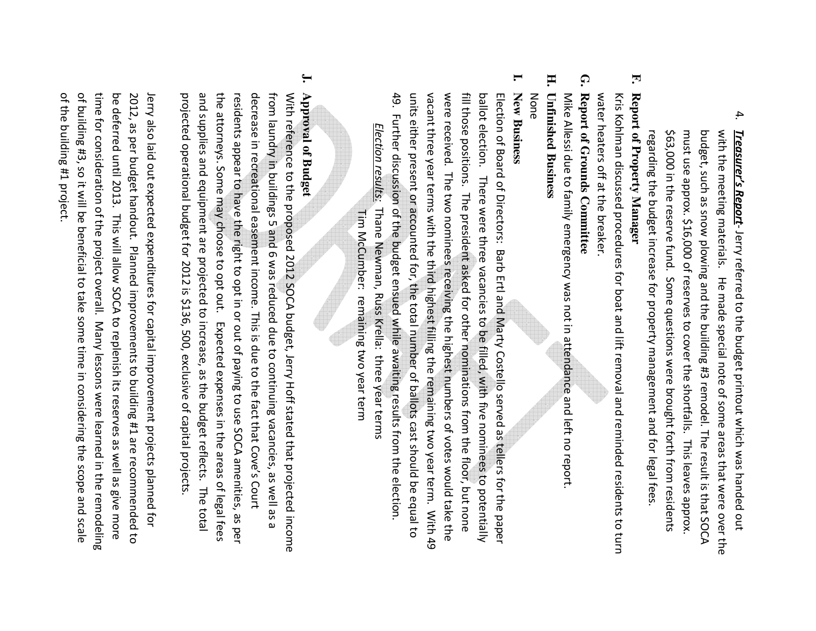4. regarding the budget increase for property management and for legal fees \$63,000 in the reserve fund. Some questions were brought forth from residents must use approx. \$16,000 of reserves to cover the shortfalls. This leaves approx. budget, such as snow plowing and the building #3 remodel. The result is that SOCA with the meeting materials. He made special note of some areas that were over the Treasurer's Report-Jerry referred to the budget printout which was handed out \$63,000 in the reserve fund. Some questions were brought forth from residents with the meeting materials. He made special note of some areas that were over the regarding the budget increase for property management and for legal fees. must use approx. \$16,000 of reserves to cover the shortfalls. This leaves approx. budget, such as snow plowing and the building #3 remodel. The result is that SOCA *Treasurer's Report*- Jerry referred to the budget printout which was handed out

### **F.** Report of Property Manager **Report of Property Manager**

water heaters off at the breaker. Kris Kohlman discussed procedures for boat and lift removal and reminded residents to turn water heaters off at the breaker. Kris Kohlman discussed procedures for boat and lift removal and reminded residents to turn

## **G.** Report of Grounds Committee **Report of Grounds Committee**

Mike Allessi due to family emergency was not in attendance and left no report. Mike Allessi due to family emergency was not in att endance and left no report.

#### **H. Unfinished Business Unfinished Business**

# None

**I.**

49. Further discussion of the budget ensued while awaiting results from the election. units either present or accounted for, the total number of ballots cast should be equal to vacant three year terms with the third highest filling the remaining two year term. With 49 were received. The two nominees receiving the highest numbers of votes would take the fill those positions. The president asked for other nominations from the floor, but none ballot election. There were three vacancies to be filled, with five nominees to potentially Election of Board of Directors: Barb Ertl and Marty Costello served as tellers for the paper **New Business** 49. Further discussion of the budget ensued while awaiting results from the election. vacant three year terms with the third highest filling the remaining two year term. With 49 were received. The two nominees receiving the highest numbers of votes would take the fill those positions. The president asked for other nominations from the floor, but none **New Business**  units either present or accounted for, the total number of ballots cast should be equal to ballot election. There were three vacancies to be filled, with five nominees to potentially Election of Board of Directors: Barb Ertl and Mart y Costello served as tellers for the paper

 Tim McCumber: remaining two year term Election results: *Election results:* Thane Newman, Russ Krella: three year terms Thane Newman, Russ Krella: three year terms Tim McCumber: remaining two year term

#### **J.** Approval of Budget **Approval of Budget**

projected operational budget for 2012 is \$136, 500, exclusive of capital projects and supplies and equipment are projected to increase, as the budget reflects. The total the attorneys. Some may choose to opt out. Expected expenses in the areas of legal fees residents appear to have the right to opt in or out of paying to use SOCA amenities, as per decrease in recreational easement income. This is due to the fact that Cove's Court from laundry in buildings 5 and 6 was reduced due to continuing vacancies, as well as a With reference to the proposed 2012 SOCA budget, Jerry Hoff stated that projected income and supplies and equipment are projected to increase, as the budget reflects. The total the attorneys. Some may choose to opt out. Expected expenses in the areas of legal fees decrease in recreational easement income. This is due to the fact that Cove's Court from laundry in buildings 5 and 6 was reduced due to continuing vacancies, as well as a With reference to the proposed 2012 SOCA budget, Je projected operational budget for 2012 is \$136, 500, exclusive of capital projects. residents appear to have the right to opt in or out of paying to use SOCA amenities, as per rry Hoff stated that projected income

of the building #1 project. of building #3, so it will be beneficial to take some time in considering the scope and scale time for consideration of the project overall. Many lessons were learned in the remodeling be deferred until 2013. This will allow SOCA to replenish its reserves as well as give more 2012, as per budget handout. Planned improvements to building #1 are recommended to Jerry also laid out expected expenditures for capital improvement projects planned of the building #1 project. of building #3, so it will be beneficial to take some time in considering the scope and scale time for consideration of the project overall. Many lessons were learned in the remodeling Jerry also laid out expected expenditures for capital improvement projects planned for be deferred until 2013. This will allow SOCA to replenish its reserves as well as give more 2012, as per budget handout. Planned improvements to building #1 are recommended to ţor